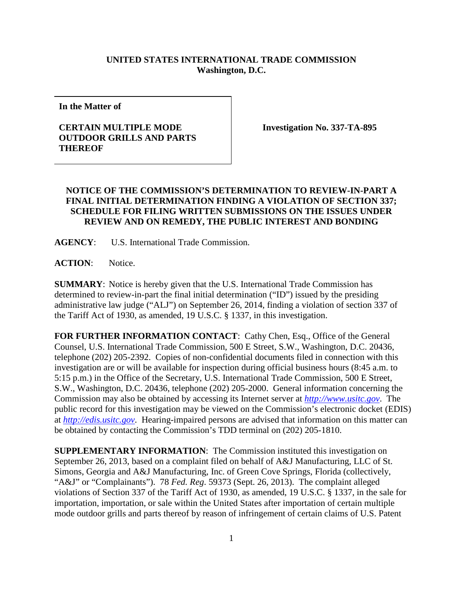## **UNITED STATES INTERNATIONAL TRADE COMMISSION Washington, D.C.**

**In the Matter of**

## **CERTAIN MULTIPLE MODE OUTDOOR GRILLS AND PARTS THEREOF**

**Investigation No. 337-TA-895**

## **NOTICE OF THE COMMISSION'S DETERMINATION TO REVIEW-IN-PART A FINAL INITIAL DETERMINATION FINDING A VIOLATION OF SECTION 337; SCHEDULE FOR FILING WRITTEN SUBMISSIONS ON THE ISSUES UNDER REVIEW AND ON REMEDY, THE PUBLIC INTEREST AND BONDING**

**AGENCY**: U.S. International Trade Commission.

**ACTION**: Notice.

**SUMMARY**: Notice is hereby given that the U.S. International Trade Commission has determined to review-in-part the final initial determination ("ID") issued by the presiding administrative law judge ("ALJ") on September 26, 2014, finding a violation of section 337 of the Tariff Act of 1930, as amended, 19 U.S.C. § 1337, in this investigation.

FOR FURTHER INFORMATION CONTACT: Cathy Chen, Esq., Office of the General Counsel, U.S. International Trade Commission, 500 E Street, S.W., Washington, D.C. 20436, telephone (202) 205-2392. Copies of non-confidential documents filed in connection with this investigation are or will be available for inspection during official business hours (8:45 a.m. to 5:15 p.m.) in the Office of the Secretary, U.S. International Trade Commission, 500 E Street, S.W., Washington, D.C. 20436, telephone (202) 205-2000. General information concerning the Commission may also be obtained by accessing its Internet server at *[http://www.usitc.gov](http://www.usitc.gov/)*. The public record for this investigation may be viewed on the Commission's electronic docket (EDIS) at *[http://edis.usitc.gov](http://edis.usitc.gov/)*. Hearing-impaired persons are advised that information on this matter can be obtained by contacting the Commission's TDD terminal on (202) 205-1810.

**SUPPLEMENTARY INFORMATION:** The Commission instituted this investigation on September 26, 2013, based on a complaint filed on behalf of A&J Manufacturing, LLC of St. Simons, Georgia and A&J Manufacturing, Inc. of Green Cove Springs, Florida (collectively, "A&J" or "Complainants"). 78 *Fed. Reg*. 59373 (Sept. 26, 2013). The complaint alleged violations of Section 337 of the Tariff Act of 1930, as amended, 19 U.S.C. § 1337, in the sale for importation, importation, or sale within the United States after importation of certain multiple mode outdoor grills and parts thereof by reason of infringement of certain claims of U.S. Patent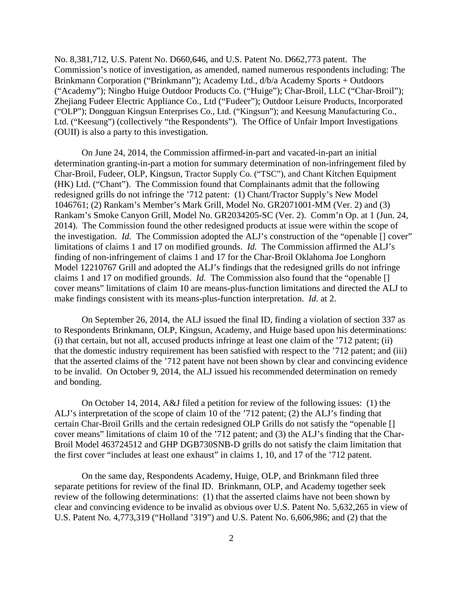No. 8,381,712, U.S. Patent No. D660,646, and U.S. Patent No. D662,773 patent. The Commission's notice of investigation, as amended, named numerous respondents including: The Brinkmann Corporation ("Brinkmann"); Academy Ltd., d/b/a Academy Sports + Outdoors ("Academy"); Ningbo Huige Outdoor Products Co. ("Huige"); Char-Broil, LLC ("Char-Broil"); Zhejiang Fudeer Electric Appliance Co., Ltd ("Fudeer"); Outdoor Leisure Products, Incorporated ("OLP"); Dongguan Kingsun Enterprises Co., Ltd. ("Kingsun"); and Keesung Manufacturing Co., Ltd. ("Keesung") (collectively "the Respondents"). The Office of Unfair Import Investigations (OUII) is also a party to this investigation.

On June 24, 2014, the Commission affirmed-in-part and vacated-in-part an initial determination granting-in-part a motion for summary determination of non-infringement filed by Char-Broil, Fudeer, OLP, Kingsun, Tractor Supply Co. ("TSC"), and Chant Kitchen Equipment (HK) Ltd. ("Chant"). The Commission found that Complainants admit that the following redesigned grills do not infringe the '712 patent: (1) Chant/Tractor Supply's New Model 1046761; (2) Rankam's Member's Mark Grill, Model No. GR2071001-MM (Ver. 2) and (3) Rankam's Smoke Canyon Grill, Model No. GR2034205-SC (Ver. 2). Comm'n Op. at 1 (Jun. 24, 2014). The Commission found the other redesigned products at issue were within the scope of the investigation. *Id.* The Commission adopted the ALJ's construction of the "openable [] cover" limitations of claims 1 and 17 on modified grounds. *Id.* The Commission affirmed the ALJ's finding of non-infringement of claims 1 and 17 for the Char-Broil Oklahoma Joe Longhorn Model 12210767 Grill and adopted the ALJ's findings that the redesigned grills do not infringe claims 1 and 17 on modified grounds. *Id.* The Commission also found that the "openable [] cover means" limitations of claim 10 are means-plus-function limitations and directed the ALJ to make findings consistent with its means-plus-function interpretation. *Id.* at 2.

On September 26, 2014, the ALJ issued the final ID, finding a violation of section 337 as to Respondents Brinkmann, OLP, Kingsun, Academy, and Huige based upon his determinations: (i) that certain, but not all, accused products infringe at least one claim of the '712 patent; (ii) that the domestic industry requirement has been satisfied with respect to the '712 patent; and (iii) that the asserted claims of the '712 patent have not been shown by clear and convincing evidence to be invalid. On October 9, 2014, the ALJ issued his recommended determination on remedy and bonding.

On October 14, 2014, A&J filed a petition for review of the following issues: (1) the ALJ's interpretation of the scope of claim 10 of the '712 patent; (2) the ALJ's finding that certain Char-Broil Grills and the certain redesigned OLP Grills do not satisfy the "openable [] cover means" limitations of claim 10 of the '712 patent; and (3) the ALJ's finding that the Char-Broil Model 463724512 and GHP DGB730SNB-D grills do not satisfy the claim limitation that the first cover "includes at least one exhaust" in claims 1, 10, and 17 of the '712 patent.

On the same day, Respondents Academy, Huige, OLP, and Brinkmann filed three separate petitions for review of the final ID. Brinkmann, OLP, and Academy together seek review of the following determinations: (1) that the asserted claims have not been shown by clear and convincing evidence to be invalid as obvious over U.S. Patent No. 5,632,265 in view of U.S. Patent No. 4,773,319 ("Holland '319") and U.S. Patent No. 6,606,986; and (2) that the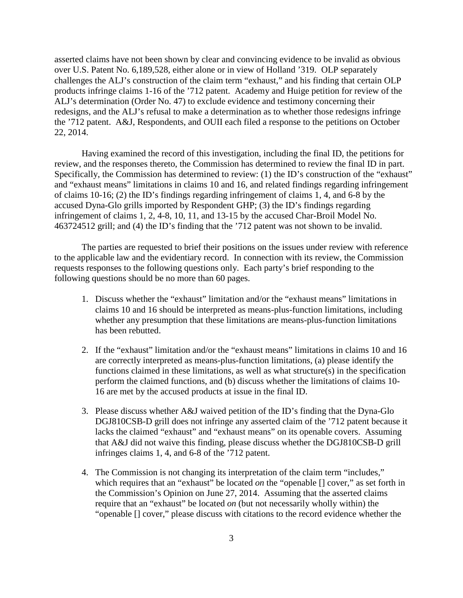asserted claims have not been shown by clear and convincing evidence to be invalid as obvious over U.S. Patent No. 6,189,528, either alone or in view of Holland '319. OLP separately challenges the ALJ's construction of the claim term "exhaust," and his finding that certain OLP products infringe claims 1-16 of the '712 patent. Academy and Huige petition for review of the ALJ's determination (Order No. 47) to exclude evidence and testimony concerning their redesigns, and the ALJ's refusal to make a determination as to whether those redesigns infringe the '712 patent. A&J, Respondents, and OUII each filed a response to the petitions on October 22, 2014.

Having examined the record of this investigation, including the final ID, the petitions for review, and the responses thereto, the Commission has determined to review the final ID in part. Specifically, the Commission has determined to review: (1) the ID's construction of the "exhaust" and "exhaust means" limitations in claims 10 and 16, and related findings regarding infringement of claims 10-16; (2) the ID's findings regarding infringement of claims 1, 4, and 6-8 by the accused Dyna-Glo grills imported by Respondent GHP; (3) the ID's findings regarding infringement of claims 1, 2, 4-8, 10, 11, and 13-15 by the accused Char-Broil Model No. 463724512 grill; and (4) the ID's finding that the '712 patent was not shown to be invalid.

The parties are requested to brief their positions on the issues under review with reference to the applicable law and the evidentiary record. In connection with its review, the Commission requests responses to the following questions only. Each party's brief responding to the following questions should be no more than 60 pages.

- 1. Discuss whether the "exhaust" limitation and/or the "exhaust means" limitations in claims 10 and 16 should be interpreted as means-plus-function limitations, including whether any presumption that these limitations are means-plus-function limitations has been rebutted.
- 2. If the "exhaust" limitation and/or the "exhaust means" limitations in claims 10 and 16 are correctly interpreted as means-plus-function limitations, (a) please identify the functions claimed in these limitations, as well as what structure(s) in the specification perform the claimed functions, and (b) discuss whether the limitations of claims 10- 16 are met by the accused products at issue in the final ID.
- 3. Please discuss whether A&J waived petition of the ID's finding that the Dyna-Glo DGJ810CSB-D grill does not infringe any asserted claim of the '712 patent because it lacks the claimed "exhaust" and "exhaust means" on its openable covers. Assuming that A&J did not waive this finding, please discuss whether the DGJ810CSB-D grill infringes claims 1, 4, and 6-8 of the '712 patent.
- 4. The Commission is not changing its interpretation of the claim term "includes," which requires that an "exhaust" be located *on* the "openable [] cover," as set forth in the Commission's Opinion on June 27, 2014. Assuming that the asserted claims require that an "exhaust" be located *on* (but not necessarily wholly within) the "openable [] cover," please discuss with citations to the record evidence whether the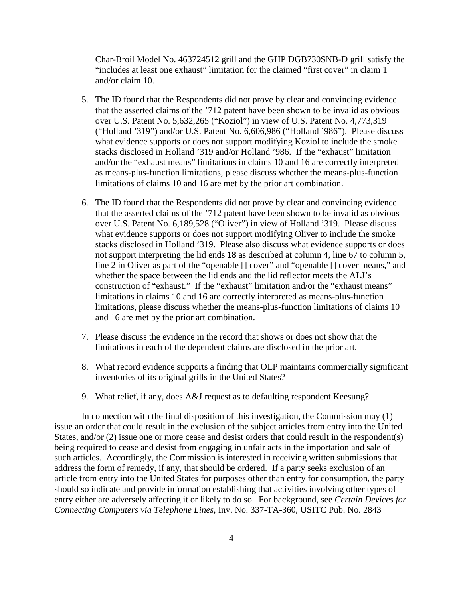Char-Broil Model No. 463724512 grill and the GHP DGB730SNB-D grill satisfy the "includes at least one exhaust" limitation for the claimed "first cover" in claim 1 and/or claim 10.

- 5. The ID found that the Respondents did not prove by clear and convincing evidence that the asserted claims of the '712 patent have been shown to be invalid as obvious over U.S. Patent No. 5,632,265 ("Koziol") in view of U.S. Patent No. 4,773,319 ("Holland '319") and/or U.S. Patent No. 6,606,986 ("Holland '986"). Please discuss what evidence supports or does not support modifying Koziol to include the smoke stacks disclosed in Holland '319 and/or Holland '986. If the "exhaust" limitation and/or the "exhaust means" limitations in claims 10 and 16 are correctly interpreted as means-plus-function limitations, please discuss whether the means-plus-function limitations of claims 10 and 16 are met by the prior art combination.
- 6. The ID found that the Respondents did not prove by clear and convincing evidence that the asserted claims of the '712 patent have been shown to be invalid as obvious over U.S. Patent No. 6,189,528 ("Oliver") in view of Holland '319. Please discuss what evidence supports or does not support modifying Oliver to include the smoke stacks disclosed in Holland '319. Please also discuss what evidence supports or does not support interpreting the lid ends **18** as described at column 4, line 67 to column 5, line 2 in Oliver as part of the "openable [] cover" and "openable [] cover means," and whether the space between the lid ends and the lid reflector meets the ALJ's construction of "exhaust." If the "exhaust" limitation and/or the "exhaust means" limitations in claims 10 and 16 are correctly interpreted as means-plus-function limitations, please discuss whether the means-plus-function limitations of claims 10 and 16 are met by the prior art combination.
- 7. Please discuss the evidence in the record that shows or does not show that the limitations in each of the dependent claims are disclosed in the prior art.
- 8. What record evidence supports a finding that OLP maintains commercially significant inventories of its original grills in the United States?
- 9. What relief, if any, does A&J request as to defaulting respondent Keesung?

In connection with the final disposition of this investigation, the Commission may (1) issue an order that could result in the exclusion of the subject articles from entry into the United States, and/or (2) issue one or more cease and desist orders that could result in the respondent(s) being required to cease and desist from engaging in unfair acts in the importation and sale of such articles. Accordingly, the Commission is interested in receiving written submissions that address the form of remedy, if any, that should be ordered. If a party seeks exclusion of an article from entry into the United States for purposes other than entry for consumption, the party should so indicate and provide information establishing that activities involving other types of entry either are adversely affecting it or likely to do so. For background, see *Certain Devices for Connecting Computers via Telephone Lines*, Inv. No. 337-TA-360, USITC Pub. No. 2843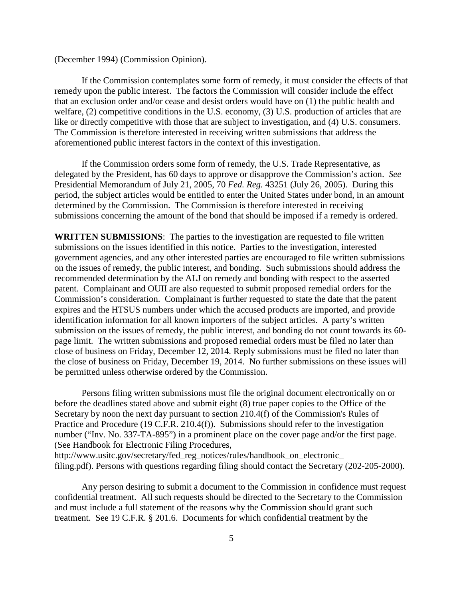(December 1994) (Commission Opinion).

If the Commission contemplates some form of remedy, it must consider the effects of that remedy upon the public interest. The factors the Commission will consider include the effect that an exclusion order and/or cease and desist orders would have on (1) the public health and welfare, (2) competitive conditions in the U.S. economy, (3) U.S. production of articles that are like or directly competitive with those that are subject to investigation, and (4) U.S. consumers. The Commission is therefore interested in receiving written submissions that address the aforementioned public interest factors in the context of this investigation.

If the Commission orders some form of remedy, the U.S. Trade Representative, as delegated by the President, has 60 days to approve or disapprove the Commission's action. *See* Presidential Memorandum of July 21, 2005, 70 *Fed. Reg.* 43251 (July 26, 2005). During this period, the subject articles would be entitled to enter the United States under bond, in an amount determined by the Commission. The Commission is therefore interested in receiving submissions concerning the amount of the bond that should be imposed if a remedy is ordered.

**WRITTEN SUBMISSIONS**: The parties to the investigation are requested to file written submissions on the issues identified in this notice. Parties to the investigation, interested government agencies, and any other interested parties are encouraged to file written submissions on the issues of remedy, the public interest, and bonding. Such submissions should address the recommended determination by the ALJ on remedy and bonding with respect to the asserted patent. Complainant and OUII are also requested to submit proposed remedial orders for the Commission's consideration. Complainant is further requested to state the date that the patent expires and the HTSUS numbers under which the accused products are imported, and provide identification information for all known importers of the subject articles. A party's written submission on the issues of remedy, the public interest, and bonding do not count towards its 60 page limit. The written submissions and proposed remedial orders must be filed no later than close of business on Friday, December 12, 2014. Reply submissions must be filed no later than the close of business on Friday, December 19, 2014. No further submissions on these issues will be permitted unless otherwise ordered by the Commission.

Persons filing written submissions must file the original document electronically on or before the deadlines stated above and submit eight (8) true paper copies to the Office of the Secretary by noon the next day pursuant to section 210.4(f) of the Commission's Rules of Practice and Procedure (19 C.F.R. 210.4(f)). Submissions should refer to the investigation number ("Inv. No. 337-TA-895") in a prominent place on the cover page and/or the first page. (See Handbook for Electronic Filing Procedures, http://www.usitc.gov/secretary/fed\_reg\_notices/rules/handbook\_on\_electronic\_ filing.pdf). Persons with questions regarding filing should contact the Secretary (202-205-2000).

Any person desiring to submit a document to the Commission in confidence must request confidential treatment. All such requests should be directed to the Secretary to the Commission and must include a full statement of the reasons why the Commission should grant such treatment. See 19 C.F.R. § 201.6. Documents for which confidential treatment by the